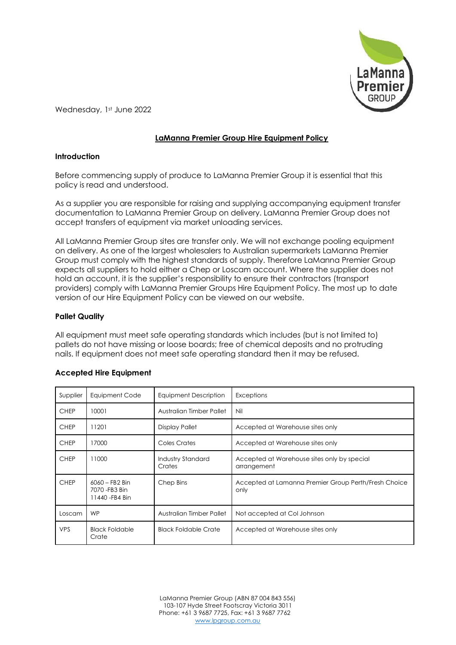

Wednesday, 1st June 2022

# **LaManna Premier Group Hire Equipment Policy**

## **Introduction**

Before commencing supply of produce to LaManna Premier Group it is essential that this policy is read and understood.

As a supplier you are responsible for raising and supplying accompanying equipment transfer documentation to LaManna Premier Group on delivery. LaManna Premier Group does not accept transfers of equipment via market unloading services.

All LaManna Premier Group sites are transfer only. We will not exchange pooling equipment on delivery. As one of the largest wholesalers to Australian supermarkets LaManna Premier Group must comply with the highest standards of supply. Therefore LaManna Premier Group expects all suppliers to hold either a Chep or Loscam account. Where the supplier does not hold an account, it is the supplier's responsibility to ensure their contractors (transport providers) comply with LaManna Premier Groups Hire Equipment Policy. The most up to date version of our Hire Equipment Policy can be viewed on our website.

## **Pallet Quality**

All equipment must meet safe operating standards which includes (but is not limited to) pallets do not have missing or loose boards; free of chemical deposits and no protruding nails. If equipment does not meet safe operating standard then it may be refused.

| Supplier    | Equipment Code                                        | Equipment Description       | Exceptions                                                   |
|-------------|-------------------------------------------------------|-----------------------------|--------------------------------------------------------------|
| <b>CHEP</b> | 10001                                                 | Australian Timber Pallet    | Nil                                                          |
| <b>CHEP</b> | 11201                                                 | Display Pallet              | Accepted at Warehouse sites only                             |
| <b>CHEP</b> | 17000                                                 | Coles Crates                | Accepted at Warehouse sites only                             |
| <b>CHEP</b> | 11000                                                 | Industry Standard<br>Crates | Accepted at Warehouse sites only by special<br>arrangement   |
| <b>CHEP</b> | $6060 - FB2 Bin$<br>7070 - FB3 Bin<br>11440 - FB4 Bin | Chep Bins                   | Accepted at Lamanna Premier Group Perth/Fresh Choice<br>only |
| Loscam      | <b>WP</b>                                             | Australian Timber Pallet    | Not accepted at Col Johnson                                  |
| <b>VPS</b>  | <b>Black Foldable</b><br>Crate                        | <b>Black Foldable Crate</b> | Accepted at Warehouse sites only                             |

## **Accepted Hire Equipment**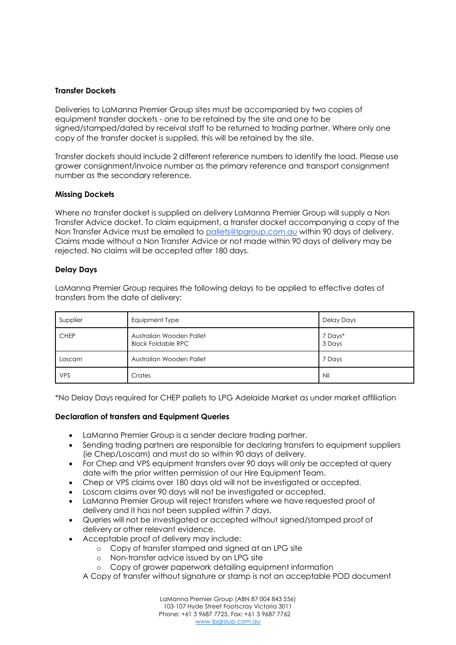#### **Transfer Dockets**

Deliveries to LaManna Premier Group sites must be accompanied by two copies of equipment transfer dockets - one to be retained by the site and one to be signed/stamped/dated by receival staff to be returned to trading partner. Where only one copy of the transfer docket is supplied, this will be retained by the site.

Transfer dockets should include 2 different reference numbers to identify the load. Please use grower consignment/invoice number as the primary reference and transport consignment number as the secondary reference.

## **Missing Dockets**

Where no transfer docket is supplied on delivery LaManna Premier Group will supply a Non Transfer Advice docket. To claim equipment, a transfer docket accompanying a copy of the Non Transfer Advice must be emailed to [pallets@lpgroup.com.au](mailto:pallets@lpgroup.com.au) within 90 days of delivery. Claims made without a Non Transfer Advice or not made within 90 days of delivery may be rejected. No claims will be accepted after 180 days.

## **Delay Days**

LaManna Premier Group requires the following delays to be applied to effective dates of transfers from the date of delivery:

| Supplier    | Equipment Type                                        | Delay Days        |
|-------------|-------------------------------------------------------|-------------------|
| <b>CHEP</b> | Australian Wooden Pallet<br><b>Black Foldable RPC</b> | 7 Days*<br>3 Days |
| Loscam      | Australian Wooden Pallet                              | 7 Days            |
| <b>VPS</b>  | Crates                                                | Nil               |

\*No Delay Days required for CHEP pallets to LPG Adelaide Market as under market affiliation

#### **Declaration of transfers and Equipment Queries**

- LaManna Premier Group is a sender declare trading partner.
- Sending trading partners are responsible for declaring transfers to equipment suppliers (ie Chep/Loscam) and must do so within 90 days of delivery.
- For Chep and VPS equipment transfers over 90 days will only be accepted at query date with the prior written permission of our Hire Equipment Team.
- Chep or VPS claims over 180 days old will not be investigated or accepted.
- Loscam claims over 90 days will not be investigated or accepted.
- LaManna Premier Group will reject transfers where we have requested proof of delivery and it has not been supplied within 7 days.
- Queries will not be investigated or accepted without signed/stamped proof of delivery or other relevant evidence.
- Acceptable proof of delivery may include:
	- o Copy of transfer stamped and signed at an LPG site
	- o Non-transfer advice issued by an LPG site
	- o Copy of grower paperwork detailing equipment information
	- A Copy of transfer without signature or stamp is not an acceptable POD document